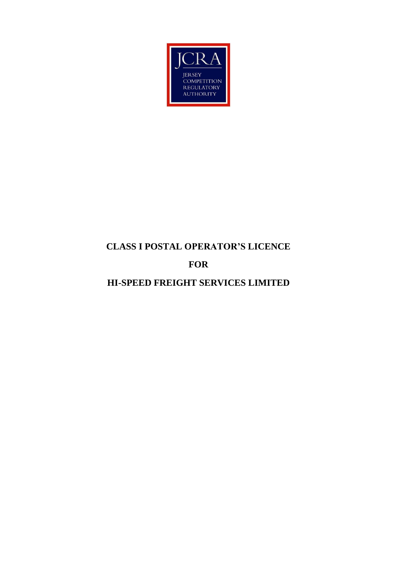

## **CLASS I POSTAL OPERATOR'S LICENCE**

# **FOR**

**HI-SPEED FREIGHT SERVICES LIMITED**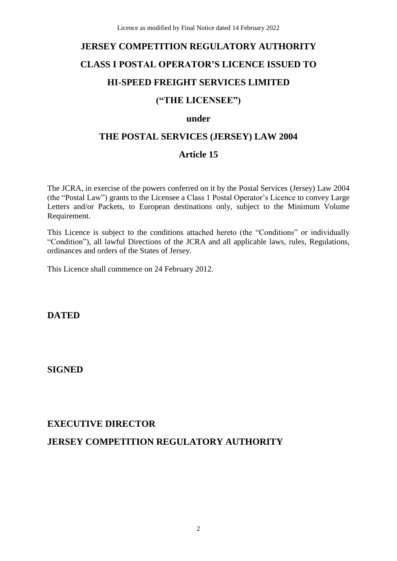# **JERSEY COMPETITION REGULATORY AUTHORITY CLASS I POSTAL OPERATOR'S LICENCE ISSUED TO HI-SPEED FREIGHT SERVICES LIMITED**

## **("THE LICENSEE")**

#### **under**

## **THE POSTAL SERVICES (JERSEY) LAW 2004**

## **Article 15**

The JCRA, in exercise of the powers conferred on it by the Postal Services (Jersey) Law 2004 (the "Postal Law") grants to the Licensee a Class 1 Postal Operator's Licence to convey Large Letters and/or Packets, to European destinations only, subject to the Minimum Volume Requirement.

This Licence is subject to the conditions attached hereto (the "Conditions" or individually "Condition"), all lawful Directions of the JCRA and all applicable laws, rules, Regulations, ordinances and orders of the States of Jersey.

This Licence shall commence on 24 February 2012.

**DATED**

## **SIGNED**

## **EXECUTIVE DIRECTOR**

## **JERSEY COMPETITION REGULATORY AUTHORITY**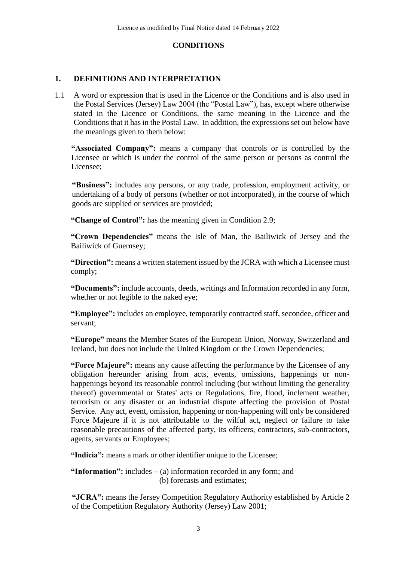#### **CONDITIONS**

#### **1. DEFINITIONS AND INTERPRETATION**

1.1 A word or expression that is used in the Licence or the Conditions and is also used in the Postal Services (Jersey) Law 2004 (the "Postal Law"), has, except where otherwise stated in the Licence or Conditions, the same meaning in the Licence and the Conditions that it has in the Postal Law. In addition, the expressions set out below have the meanings given to them below:

**"Associated Company":** means a company that controls or is controlled by the Licensee or which is under the control of the same person or persons as control the Licensee;

**"Business":** includes any persons, or any trade, profession, employment activity, or undertaking of a body of persons (whether or not incorporated), in the course of which goods are supplied or services are provided;

**"Change of Control":** has the meaning given in Condition 2.9;

**"Crown Dependencies"** means the Isle of Man, the Bailiwick of Jersey and the Bailiwick of Guernsey;

**"Direction":** means a written statement issued by the JCRA with which a Licensee must comply;

**"Documents":** include accounts, deeds, writings and Information recorded in any form, whether or not legible to the naked eye;

**"Employee":** includes an employee, temporarily contracted staff, secondee, officer and servant;

**"Europe"** means the Member States of the European Union, Norway, Switzerland and Iceland, but does not include the United Kingdom or the Crown Dependencies;

**"Force Majeure":** means any cause affecting the performance by the Licensee of any obligation hereunder arising from acts, events, omissions, happenings or nonhappenings beyond its reasonable control including (but without limiting the generality thereof) governmental or States' acts or Regulations, fire, flood, inclement weather, terrorism or any disaster or an industrial dispute affecting the provision of Postal Service. Any act, event, omission, happening or non-happening will only be considered Force Majeure if it is not attributable to the wilful act, neglect or failure to take reasonable precautions of the affected party, its officers, contractors, sub-contractors, agents, servants or Employees;

**"Indicia":** means a mark or other identifier unique to the Licensee;

**"Information":** includes – (a) information recorded in any form; and (b) forecasts and estimates;

**"JCRA":** means the Jersey Competition Regulatory Authority established by Article 2 of the Competition Regulatory Authority (Jersey) Law 2001;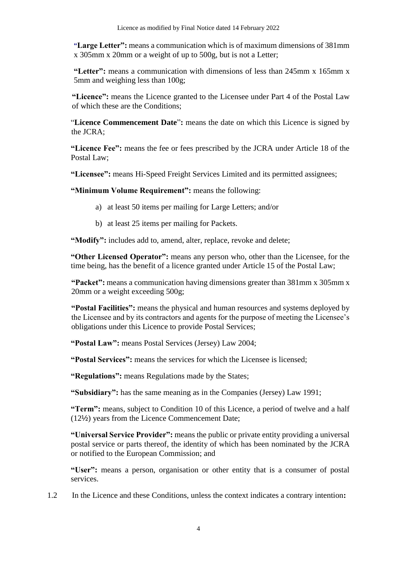**"Large Letter":** means a communication which is of maximum dimensions of 381mm x 305mm x 20mm or a weight of up to 500g, but is not a Letter;

**"Letter":** means a communication with dimensions of less than 245mm x 165mm x 5mm and weighing less than 100g;

**"Licence":** means the Licence granted to the Licensee under Part 4 of the Postal Law of which these are the Conditions;

"**Licence Commencement Date**"**:** means the date on which this Licence is signed by the JCRA;

**"Licence Fee":** means the fee or fees prescribed by the JCRA under Article 18 of the Postal Law;

**"Licensee":** means Hi-Speed Freight Services Limited and its permitted assignees;

**"Minimum Volume Requirement":** means the following:

- a) at least 50 items per mailing for Large Letters; and/or
- b) at least 25 items per mailing for Packets.

**"Modify":** includes add to, amend, alter, replace, revoke and delete;

**"Other Licensed Operator":** means any person who, other than the Licensee, for the time being, has the benefit of a licence granted under Article 15 of the Postal Law;

**"Packet":** means a communication having dimensions greater than 381mm x 305mm x 20mm or a weight exceeding 500g;

**"Postal Facilities":** means the physical and human resources and systems deployed by the Licensee and by its contractors and agents for the purpose of meeting the Licensee's obligations under this Licence to provide Postal Services;

**"Postal Law":** means Postal Services (Jersey) Law 2004;

**"Postal Services":** means the services for which the Licensee is licensed;

**"Regulations":** means Regulations made by the States;

**"Subsidiary":** has the same meaning as in the Companies (Jersey) Law 1991;

**"Term":** means, subject to Condition 10 of this Licence, a period of twelve and a half (12½) years from the Licence Commencement Date;

**"Universal Service Provider":** means the public or private entity providing a universal postal service or parts thereof, the identity of which has been nominated by the JCRA or notified to the European Commission; and

**"User":** means a person, organisation or other entity that is a consumer of postal services.

1.2 In the Licence and these Conditions, unless the context indicates a contrary intention**:**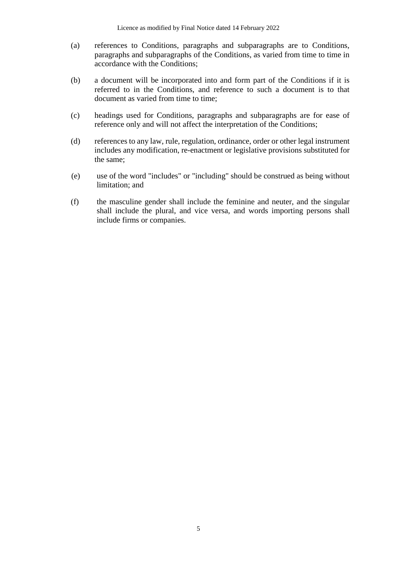- (a) references to Conditions, paragraphs and subparagraphs are to Conditions, paragraphs and subparagraphs of the Conditions, as varied from time to time in accordance with the Conditions;
- (b) a document will be incorporated into and form part of the Conditions if it is referred to in the Conditions, and reference to such a document is to that document as varied from time to time;
- (c) headings used for Conditions, paragraphs and subparagraphs are for ease of reference only and will not affect the interpretation of the Conditions;
- (d) references to any law, rule, regulation, ordinance, order or other legal instrument includes any modification, re-enactment or legislative provisions substituted for the same;
- (e) use of the word "includes" or "including" should be construed as being without limitation; and
- (f) the masculine gender shall include the feminine and neuter, and the singular shall include the plural, and vice versa, and words importing persons shall include firms or companies.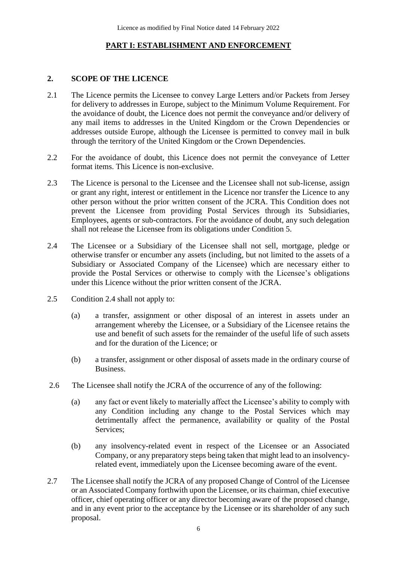#### **PART I: ESTABLISHMENT AND ENFORCEMENT**

#### **2. SCOPE OF THE LICENCE**

- 2.1 The Licence permits the Licensee to convey Large Letters and/or Packets from Jersey for delivery to addresses in Europe, subject to the Minimum Volume Requirement. For the avoidance of doubt, the Licence does not permit the conveyance and/or delivery of any mail items to addresses in the United Kingdom or the Crown Dependencies or addresses outside Europe, although the Licensee is permitted to convey mail in bulk through the territory of the United Kingdom or the Crown Dependencies.
- 2.2 For the avoidance of doubt, this Licence does not permit the conveyance of Letter format items. This Licence is non-exclusive.
- 2.3 The Licence is personal to the Licensee and the Licensee shall not sub-license, assign or grant any right, interest or entitlement in the Licence nor transfer the Licence to any other person without the prior written consent of the JCRA. This Condition does not prevent the Licensee from providing Postal Services through its Subsidiaries, Employees, agents or sub-contractors. For the avoidance of doubt, any such delegation shall not release the Licensee from its obligations under Condition 5.
- 2.4 The Licensee or a Subsidiary of the Licensee shall not sell, mortgage, pledge or otherwise transfer or encumber any assets (including, but not limited to the assets of a Subsidiary or Associated Company of the Licensee) which are necessary either to provide the Postal Services or otherwise to comply with the Licensee's obligations under this Licence without the prior written consent of the JCRA.
- 2.5 Condition 2.4 shall not apply to:
	- (a) a transfer, assignment or other disposal of an interest in assets under an arrangement whereby the Licensee, or a Subsidiary of the Licensee retains the use and benefit of such assets for the remainder of the useful life of such assets and for the duration of the Licence; or
	- (b) a transfer, assignment or other disposal of assets made in the ordinary course of Business.
- 2.6 The Licensee shall notify the JCRA of the occurrence of any of the following:
	- (a) any fact or event likely to materially affect the Licensee's ability to comply with any Condition including any change to the Postal Services which may detrimentally affect the permanence, availability or quality of the Postal Services;
	- (b) any insolvency-related event in respect of the Licensee or an Associated Company, or any preparatory steps being taken that might lead to an insolvencyrelated event, immediately upon the Licensee becoming aware of the event.
- 2.7 The Licensee shall notify the JCRA of any proposed Change of Control of the Licensee or an Associated Company forthwith upon the Licensee, or its chairman, chief executive officer, chief operating officer or any director becoming aware of the proposed change, and in any event prior to the acceptance by the Licensee or its shareholder of any such proposal.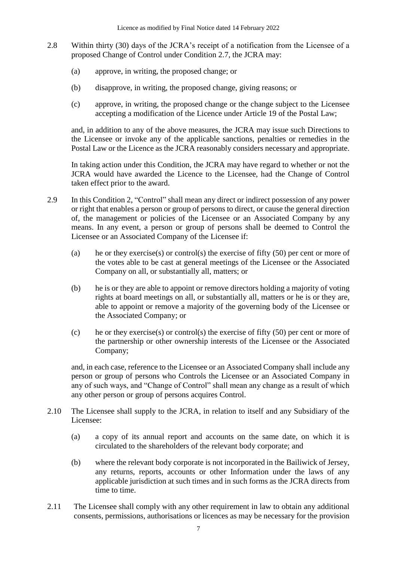- 2.8 Within thirty (30) days of the JCRA's receipt of a notification from the Licensee of a proposed Change of Control under Condition 2.7, the JCRA may:
	- (a) approve, in writing, the proposed change; or
	- (b) disapprove, in writing, the proposed change, giving reasons; or
	- (c) approve, in writing, the proposed change or the change subject to the Licensee accepting a modification of the Licence under Article 19 of the Postal Law;

and, in addition to any of the above measures, the JCRA may issue such Directions to the Licensee or invoke any of the applicable sanctions, penalties or remedies in the Postal Law or the Licence as the JCRA reasonably considers necessary and appropriate.

In taking action under this Condition, the JCRA may have regard to whether or not the JCRA would have awarded the Licence to the Licensee, had the Change of Control taken effect prior to the award.

- 2.9 In this Condition 2, "Control" shall mean any direct or indirect possession of any power or right that enables a person or group of persons to direct, or cause the general direction of, the management or policies of the Licensee or an Associated Company by any means. In any event, a person or group of persons shall be deemed to Control the Licensee or an Associated Company of the Licensee if:
	- (a) he or they exercise(s) or control(s) the exercise of fifty (50) per cent or more of the votes able to be cast at general meetings of the Licensee or the Associated Company on all, or substantially all, matters; or
	- (b) he is or they are able to appoint or remove directors holding a majority of voting rights at board meetings on all, or substantially all, matters or he is or they are, able to appoint or remove a majority of the governing body of the Licensee or the Associated Company; or
	- (c) he or they exercise(s) or control(s) the exercise of fifty  $(50)$  per cent or more of the partnership or other ownership interests of the Licensee or the Associated Company;

and, in each case, reference to the Licensee or an Associated Company shall include any person or group of persons who Controls the Licensee or an Associated Company in any of such ways, and "Change of Control" shall mean any change as a result of which any other person or group of persons acquires Control.

- 2.10 The Licensee shall supply to the JCRA, in relation to itself and any Subsidiary of the Licensee:
	- (a) a copy of its annual report and accounts on the same date, on which it is circulated to the shareholders of the relevant body corporate; and
	- (b) where the relevant body corporate is not incorporated in the Bailiwick of Jersey, any returns, reports, accounts or other Information under the laws of any applicable jurisdiction at such times and in such forms as the JCRA directs from time to time.
- 2.11 The Licensee shall comply with any other requirement in law to obtain any additional consents, permissions, authorisations or licences as may be necessary for the provision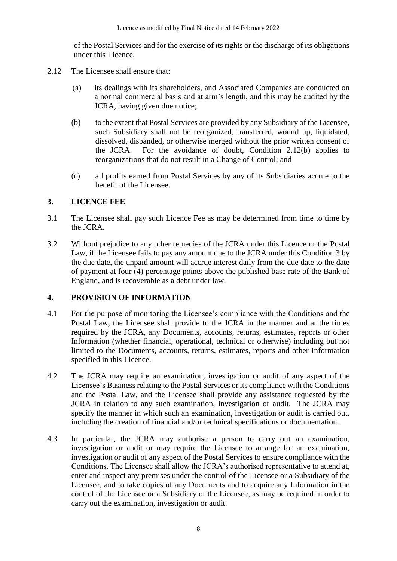of the Postal Services and for the exercise of its rights or the discharge of its obligations under this Licence.

- 2.12 The Licensee shall ensure that:
	- (a) its dealings with its shareholders, and Associated Companies are conducted on a normal commercial basis and at arm's length, and this may be audited by the JCRA, having given due notice;
	- (b) to the extent that Postal Services are provided by any Subsidiary of the Licensee, such Subsidiary shall not be reorganized, transferred, wound up, liquidated, dissolved, disbanded, or otherwise merged without the prior written consent of the JCRA. For the avoidance of doubt, Condition 2.12(b) applies to reorganizations that do not result in a Change of Control; and
	- (c) all profits earned from Postal Services by any of its Subsidiaries accrue to the benefit of the Licensee.

#### **3. LICENCE FEE**

- 3.1 The Licensee shall pay such Licence Fee as may be determined from time to time by the JCRA.
- 3.2 Without prejudice to any other remedies of the JCRA under this Licence or the Postal Law, if the Licensee fails to pay any amount due to the JCRA under this Condition 3 by the due date, the unpaid amount will accrue interest daily from the due date to the date of payment at four (4) percentage points above the published base rate of the Bank of England, and is recoverable as a debt under law.

### **4. PROVISION OF INFORMATION**

- 4.1 For the purpose of monitoring the Licensee's compliance with the Conditions and the Postal Law, the Licensee shall provide to the JCRA in the manner and at the times required by the JCRA, any Documents, accounts, returns, estimates, reports or other Information (whether financial, operational, technical or otherwise) including but not limited to the Documents, accounts, returns, estimates, reports and other Information specified in this Licence.
- 4.2 The JCRA may require an examination, investigation or audit of any aspect of the Licensee's Business relating to the Postal Services or its compliance with the Conditions and the Postal Law, and the Licensee shall provide any assistance requested by the JCRA in relation to any such examination, investigation or audit. The JCRA may specify the manner in which such an examination, investigation or audit is carried out, including the creation of financial and/or technical specifications or documentation.
- 4.3 In particular, the JCRA may authorise a person to carry out an examination, investigation or audit or may require the Licensee to arrange for an examination, investigation or audit of any aspect of the Postal Services to ensure compliance with the Conditions. The Licensee shall allow the JCRA's authorised representative to attend at, enter and inspect any premises under the control of the Licensee or a Subsidiary of the Licensee, and to take copies of any Documents and to acquire any Information in the control of the Licensee or a Subsidiary of the Licensee, as may be required in order to carry out the examination, investigation or audit.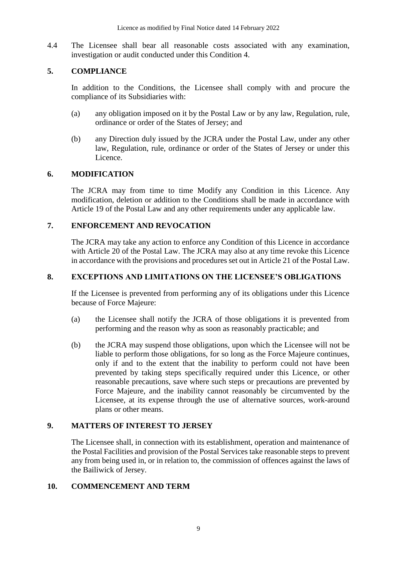4.4 The Licensee shall bear all reasonable costs associated with any examination, investigation or audit conducted under this Condition 4.

#### **5. COMPLIANCE**

In addition to the Conditions, the Licensee shall comply with and procure the compliance of its Subsidiaries with:

- (a) any obligation imposed on it by the Postal Law or by any law, Regulation, rule, ordinance or order of the States of Jersey; and
- (b) any Direction duly issued by the JCRA under the Postal Law, under any other law, Regulation, rule, ordinance or order of the States of Jersey or under this Licence.

#### **6. MODIFICATION**

The JCRA may from time to time Modify any Condition in this Licence. Any modification, deletion or addition to the Conditions shall be made in accordance with Article 19 of the Postal Law and any other requirements under any applicable law.

#### **7. ENFORCEMENT AND REVOCATION**

The JCRA may take any action to enforce any Condition of this Licence in accordance with Article 20 of the Postal Law. The JCRA may also at any time revoke this Licence in accordance with the provisions and procedures set out in Article 21 of the Postal Law.

#### **8. EXCEPTIONS AND LIMITATIONS ON THE LICENSEE'S OBLIGATIONS**

If the Licensee is prevented from performing any of its obligations under this Licence because of Force Majeure:

- (a) the Licensee shall notify the JCRA of those obligations it is prevented from performing and the reason why as soon as reasonably practicable; and
- (b) the JCRA may suspend those obligations, upon which the Licensee will not be liable to perform those obligations, for so long as the Force Majeure continues, only if and to the extent that the inability to perform could not have been prevented by taking steps specifically required under this Licence, or other reasonable precautions, save where such steps or precautions are prevented by Force Majeure, and the inability cannot reasonably be circumvented by the Licensee, at its expense through the use of alternative sources, work-around plans or other means.

#### **9. MATTERS OF INTEREST TO JERSEY**

The Licensee shall, in connection with its establishment, operation and maintenance of the Postal Facilities and provision of the Postal Services take reasonable steps to prevent any from being used in, or in relation to, the commission of offences against the laws of the Bailiwick of Jersey.

#### **10. COMMENCEMENT AND TERM**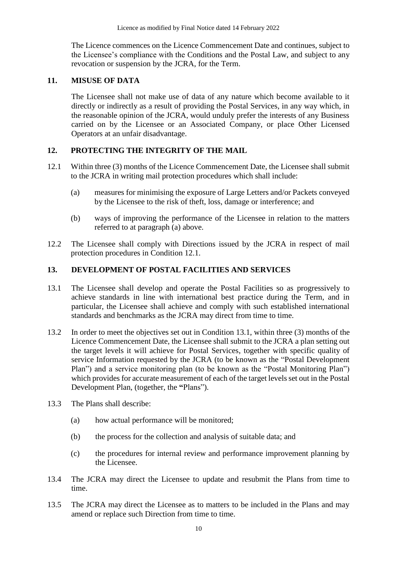The Licence commences on the Licence Commencement Date and continues, subject to the Licensee's compliance with the Conditions and the Postal Law, and subject to any revocation or suspension by the JCRA, for the Term.

#### **11. MISUSE OF DATA**

The Licensee shall not make use of data of any nature which become available to it directly or indirectly as a result of providing the Postal Services, in any way which, in the reasonable opinion of the JCRA, would unduly prefer the interests of any Business carried on by the Licensee or an Associated Company, or place Other Licensed Operators at an unfair disadvantage.

#### **12. PROTECTING THE INTEGRITY OF THE MAIL**

- 12.1 Within three (3) months of the Licence Commencement Date, the Licensee shall submit to the JCRA in writing mail protection procedures which shall include:
	- (a) measures for minimising the exposure of Large Letters and/or Packets conveyed by the Licensee to the risk of theft, loss, damage or interference; and
	- (b) ways of improving the performance of the Licensee in relation to the matters referred to at paragraph (a) above.
- 12.2 The Licensee shall comply with Directions issued by the JCRA in respect of mail protection procedures in Condition 12.1.

#### **13. DEVELOPMENT OF POSTAL FACILITIES AND SERVICES**

- 13.1 The Licensee shall develop and operate the Postal Facilities so as progressively to achieve standards in line with international best practice during the Term, and in particular, the Licensee shall achieve and comply with such established international standards and benchmarks as the JCRA may direct from time to time.
- 13.2 In order to meet the objectives set out in Condition 13.1, within three (3) months of the Licence Commencement Date, the Licensee shall submit to the JCRA a plan setting out the target levels it will achieve for Postal Services, together with specific quality of service Information requested by the JCRA (to be known as the "Postal Development Plan") and a service monitoring plan (to be known as the "Postal Monitoring Plan") which provides for accurate measurement of each of the target levels set out in the Postal Development Plan, (together, the **"**Plans").
- 13.3 The Plans shall describe:
	- (a) how actual performance will be monitored;
	- (b) the process for the collection and analysis of suitable data; and
	- (c) the procedures for internal review and performance improvement planning by the Licensee.
- 13.4 The JCRA may direct the Licensee to update and resubmit the Plans from time to time.
- 13.5 The JCRA may direct the Licensee as to matters to be included in the Plans and may amend or replace such Direction from time to time.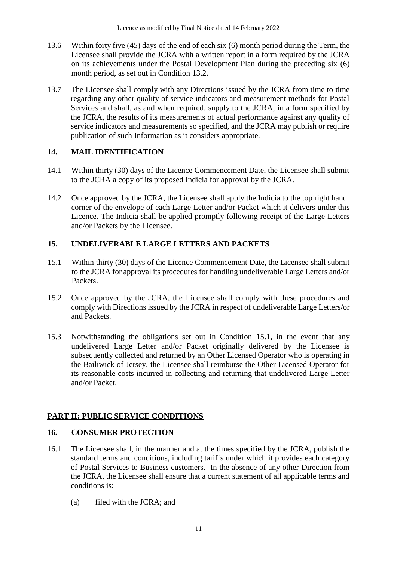- 13.6 Within forty five (45) days of the end of each six (6) month period during the Term, the Licensee shall provide the JCRA with a written report in a form required by the JCRA on its achievements under the Postal Development Plan during the preceding six (6) month period, as set out in Condition 13.2.
- 13.7 The Licensee shall comply with any Directions issued by the JCRA from time to time regarding any other quality of service indicators and measurement methods for Postal Services and shall, as and when required, supply to the JCRA, in a form specified by the JCRA, the results of its measurements of actual performance against any quality of service indicators and measurements so specified, and the JCRA may publish or require publication of such Information as it considers appropriate.

#### **14. MAIL IDENTIFICATION**

- 14.1 Within thirty (30) days of the Licence Commencement Date, the Licensee shall submit to the JCRA a copy of its proposed Indicia for approval by the JCRA.
- 14.2 Once approved by the JCRA, the Licensee shall apply the Indicia to the top right hand corner of the envelope of each Large Letter and/or Packet which it delivers under this Licence. The Indicia shall be applied promptly following receipt of the Large Letters and/or Packets by the Licensee.

#### **15. UNDELIVERABLE LARGE LETTERS AND PACKETS**

- 15.1 Within thirty (30) days of the Licence Commencement Date, the Licensee shall submit to the JCRA for approval its procedures for handling undeliverable Large Letters and/or Packets.
- 15.2 Once approved by the JCRA, the Licensee shall comply with these procedures and comply with Directions issued by the JCRA in respect of undeliverable Large Letters/or and Packets.
- 15.3 Notwithstanding the obligations set out in Condition 15.1, in the event that any undelivered Large Letter and/or Packet originally delivered by the Licensee is subsequently collected and returned by an Other Licensed Operator who is operating in the Bailiwick of Jersey, the Licensee shall reimburse the Other Licensed Operator for its reasonable costs incurred in collecting and returning that undelivered Large Letter and/or Packet.

#### **PART II: PUBLIC SERVICE CONDITIONS**

#### **16. CONSUMER PROTECTION**

- 16.1 The Licensee shall, in the manner and at the times specified by the JCRA, publish the standard terms and conditions, including tariffs under which it provides each category of Postal Services to Business customers. In the absence of any other Direction from the JCRA, the Licensee shall ensure that a current statement of all applicable terms and conditions is:
	- (a) filed with the JCRA; and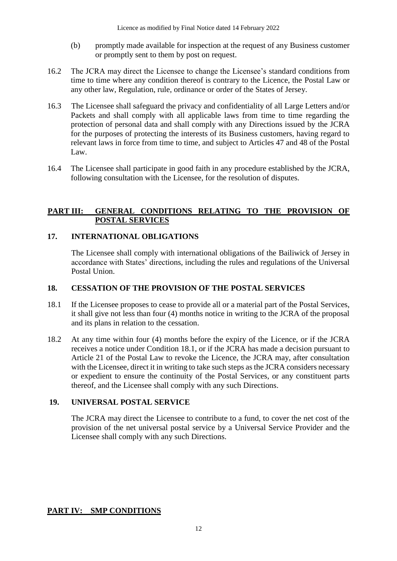- (b) promptly made available for inspection at the request of any Business customer or promptly sent to them by post on request.
- 16.2 The JCRA may direct the Licensee to change the Licensee's standard conditions from time to time where any condition thereof is contrary to the Licence, the Postal Law or any other law, Regulation, rule, ordinance or order of the States of Jersey.
- 16.3 The Licensee shall safeguard the privacy and confidentiality of all Large Letters and/or Packets and shall comply with all applicable laws from time to time regarding the protection of personal data and shall comply with any Directions issued by the JCRA for the purposes of protecting the interests of its Business customers, having regard to relevant laws in force from time to time, and subject to Articles 47 and 48 of the Postal Law.
- 16.4 The Licensee shall participate in good faith in any procedure established by the JCRA, following consultation with the Licensee, for the resolution of disputes.

#### **PART III: GENERAL CONDITIONS RELATING TO THE PROVISION OF POSTAL SERVICES**

#### **17. INTERNATIONAL OBLIGATIONS**

The Licensee shall comply with international obligations of the Bailiwick of Jersey in accordance with States' directions, including the rules and regulations of the Universal Postal Union.

#### **18. CESSATION OF THE PROVISION OF THE POSTAL SERVICES**

- 18.1 If the Licensee proposes to cease to provide all or a material part of the Postal Services, it shall give not less than four (4) months notice in writing to the JCRA of the proposal and its plans in relation to the cessation.
- 18.2 At any time within four (4) months before the expiry of the Licence, or if the JCRA receives a notice under Condition 18.1, or if the JCRA has made a decision pursuant to Article 21 of the Postal Law to revoke the Licence, the JCRA may, after consultation with the Licensee, direct it in writing to take such steps as the JCRA considers necessary or expedient to ensure the continuity of the Postal Services, or any constituent parts thereof, and the Licensee shall comply with any such Directions.

#### **19. UNIVERSAL POSTAL SERVICE**

The JCRA may direct the Licensee to contribute to a fund, to cover the net cost of the provision of the net universal postal service by a Universal Service Provider and the Licensee shall comply with any such Directions.

#### **PART IV: SMP CONDITIONS**